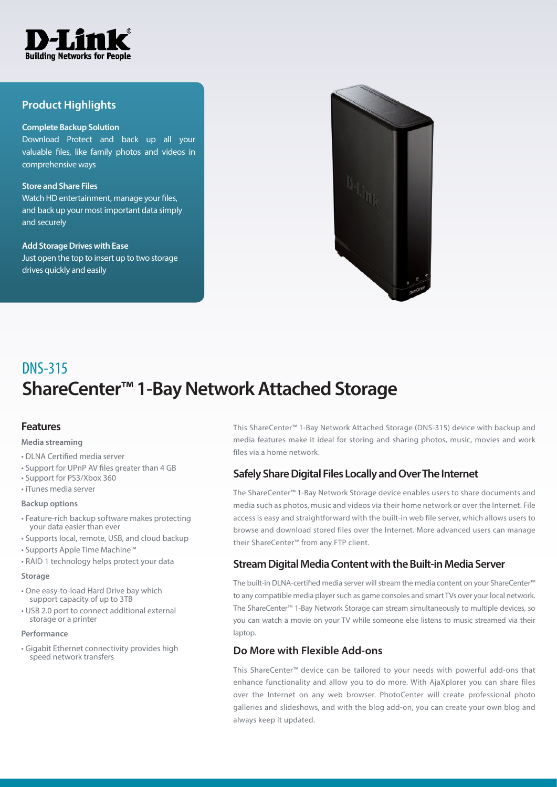

## **Product Highlights**

#### **Complete Backup Solution**

Download Protect and back up all your valuable files, like family photos and videos in comprehensive ways

#### **Store and Share Files**

Watch HD entertainment, manage your files, and back up your most important data simply and securely

#### **Add Storage Drives with Ease**

Just open the top to insert up to two storage drives quickly and easily



# **ShareCenter™ 1-Bay Network Attached Storage** DNS-315

## **Features**

#### **Media streaming**

- DLNA Certified media server
- Support for UPnP AV files greater than 4 GB
- Support for PS3/Xbox 360
- iTunes media server

#### **Backup options**

- Feature-rich backup software makes protecting your data easier than ever
- Supports local, remote, USB, and cloud backup
- Supports Apple Time Machine™
- RAID 1 technology helps protect your data

#### **Storage**

- One easy-to-load Hard Drive bay which support capacity of up to 3TB
- USB 2.0 port to connect additional external storage or a printer

#### **Performance**

• Gigabit Ethernet connectivity provides high speed network transfers

This ShareCenter™ 1-Bay Network Attached Storage (DNS-315) device with backup and media features make it ideal for storing and sharing photos, music, movies and work files via a home network.

## **Safely Share Digital Files Locally and Over The Internet**

The ShareCenter™ 1-Bay Network Storage device enables users to share documents and media such as photos, music and videos via their home network or over the Internet. File access is easy and straightforward with the built-in web file server, which allows users to browse and download stored files over the Internet. More advanced users can manage their ShareCenter™ from any FTP client.

## **Stream Digital Media Content with the Built-in Media Server**

The built-in DLNA-certified media server will stream the media content on your ShareCenter™ to any compatible media player such as game consoles and smart TVs over your local network. The ShareCenter™ 1-Bay Network Storage can stream simultaneously to multiple devices, so you can watch a movie on your TV while someone else listens to music streamed via their laptop.

## **Do More with Flexible Add-ons**

This ShareCenter™ device can be tailored to your needs with powerful add-ons that enhance functionality and allow you to do more. With AjaXplorer you can share files over the Internet on any web browser. PhotoCenter will create professional photo galleries and slideshows, and with the blog add-on, you can create your own blog and always keep it updated.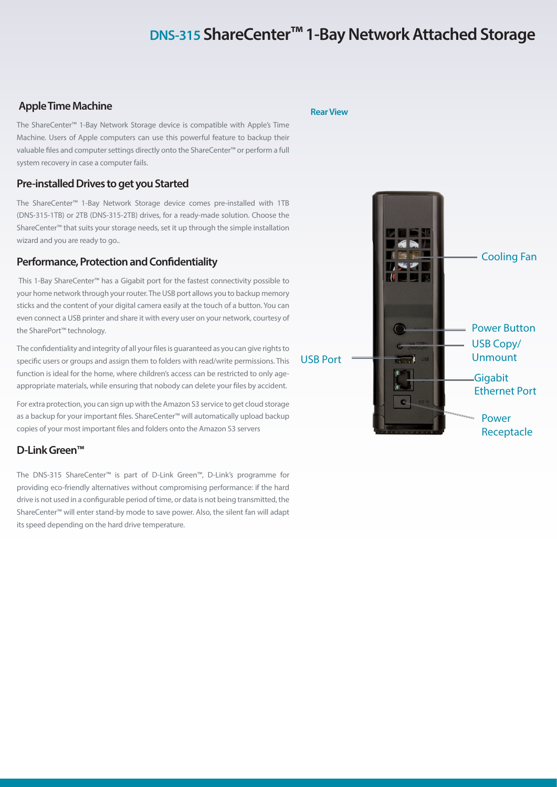## **DNS-315 ShareCenter™ 1-Bay Network Attached Storage**

## **Apple Time Machine**

The ShareCenter™ 1-Bay Network Storage device is compatible with Apple's Time Machine. Users of Apple computers can use this powerful feature to backup their valuable files and computer settings directly onto the ShareCenter™ or perform a full system recovery in case a computer fails.

## **Pre-installed Drives to get you Started**

The ShareCenter™ 1-Bay Network Storage device comes pre-installed with 1TB (DNS-315-1TB) or 2TB (DNS-315-2TB) drives, for a ready-made solution. Choose the ShareCenter™ that suits your storage needs, set it up through the simple installation wizard and you are ready to go..

### **Performance, Protection and Confidentiality**

 This 1-Bay ShareCenter™ has a Gigabit port for the fastest connectivity possible to your home network through your router. The USB port allows you to backup memory sticks and the content of your digital camera easily at the touch of a button. You can even connect a USB printer and share it with every user on your network, courtesy of the SharePort™ technology.

The confidentiality and integrity of all your files is guaranteed as you can give rights to specific users or groups and assign them to folders with read/write permissions. This function is ideal for the home, where children's access can be restricted to only ageappropriate materials, while ensuring that nobody can delete your files by accident.

For extra protection, you can sign up with the Amazon S3 service to get cloud storage as a backup for your important files. ShareCenter™ will automatically upload backup copies of your most important files and folders onto the Amazon S3 servers

## **D-Link Green™**

The DNS-315 ShareCenter™ is part of D-Link Green™, D-Link's programme for providing eco-friendly alternatives without compromising performance: if the hard drive is not used in a configurable period of time, or data is not being transmitted, the ShareCenter™ will enter stand-by mode to save power. Also, the silent fan will adapt its speed depending on the hard drive temperature.

**Rear View**